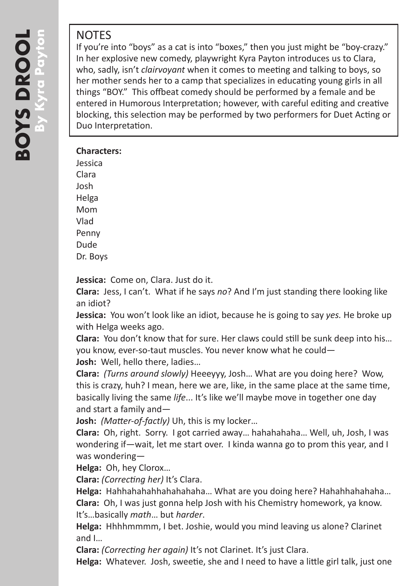# NOTES

If you're into "boys" as a cat is into "boxes," then you just might be "boy-crazy." In her explosive new comedy, playwright Kyra Payton introduces us to Clara, who, sadly, isn't *clairvoyant* when it comes to meeting and talking to boys, so her mother sends her to a camp that specializes in educating young girls in all things "BOY." This offbeat comedy should be performed by a female and be entered in Humorous Interpretation; however, with careful editing and creative blocking, this selection may be performed by two performers for Duet Acting or Duo Interpretation.

### **Characters:**

Jessica Clara Josh Helga Mom Vlad Penny Dude Dr. Boys

**Jessica:** Come on, Clara. Just do it.

**Clara:** Jess, I can't. What if he says *no*? And I'm just standing there looking like an idiot?

**Jessica:** You won't look like an idiot, because he is going to say *yes.* He broke up with Helga weeks ago.

**Clara:** You don't know that for sure. Her claws could still be sunk deep into his… you know, ever-so-taut muscles. You never know what he could— **Josh:** Well, hello there, ladies…

**Clara:** *(Turns around slowly)* Heeeyyy, Josh… What are you doing here? Wow, this is crazy, huh? I mean, here we are, like, in the same place at the same time, basically living the same *life*... It's like we'll maybe move in together one day and start a family and—

**Josh:** *(Matter-of-factly)* Uh, this is my locker…

**Clara:** Oh, right. Sorry. I got carried away… hahahahaha… Well, uh, Josh, I was wondering if—wait, let me start over. I kinda wanna go to prom this year, and I was wondering—

**Helga:** Oh, hey Clorox…

**Clara:** *(Correcting her)* It's Clara.

**Helga:** Hahhahahahhahahahaha… What are you doing here? Hahahhahahaha… **Clara:** Oh, I was just gonna help Josh with his Chemistry homework, ya know. It's…basically *math*… but *harder*.

**Helga:** Hhhhmmmm, I bet. Joshie, would you mind leaving us alone? Clarinet and I…

**Clara:** *(Correcting her again)* It's not Clarinet. It's just Clara.

**Helga:** Whatever. Josh, sweetie, she and I need to have a little girl talk, just one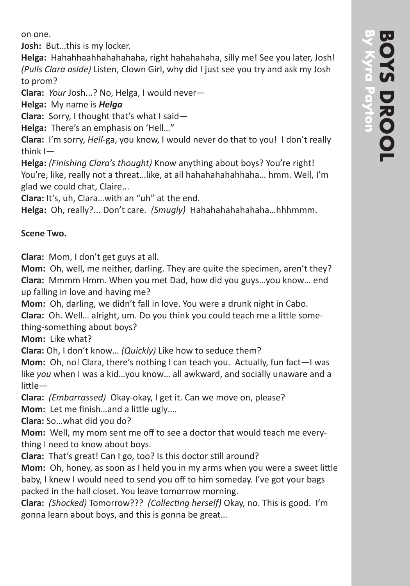on one.

**Josh:** But…this is my locker.

**Helga:** Hahahhaahhahahahaha, right hahahahaha, silly me! See you later, Josh! *(Pulls Clara aside)* Listen, Clown Girl, why did I just see you try and ask my Josh to prom?

**Clara:** *Your* Josh...? No, Helga, I would never—

**Helga:** My name is *Helga*

**Clara:** Sorry, I thought that's what I said—

**Helga:** There's an emphasis on 'Hell…"

**Clara:** I'm sorry, *Hell*-ga, you know, I would never do that to you! I don't really think I—

**Helga:** *(Finishing Clara's thought)* Know anything about boys? You're right! You're, like, really not a threat…like, at all hahahahahahhaha… hmm. Well, I'm glad we could chat, Claire...

**Clara:** It's, uh, Clara…with an "uh" at the end.

**Helga:** Oh, really?... Don't care. *(Smugly)* Hahahahahahahaha…hhhmmm.

## **Scene Two.**

**Clara:** Mom, I don't get guys at all.

**Mom:** Oh, well, me neither, darling. They are quite the specimen, aren't they? **Clara:** Mmmm Hmm. When you met Dad, how did you guys…you know… end up falling in love and having me?

**Mom:** Oh, darling, we didn't fall in love. You were a drunk night in Cabo. **Clara:** Oh. Well… alright, um. Do you think you could teach me a little something-something about boys?

**Mom:** Like what?

**Clara:** Oh, I don't know… *(Quickly)* Like how to seduce them?

**Mom:** Oh, no! Clara, there's nothing I can teach you. Actually, fun fact—I was like *you* when I was a kid…you know… all awkward, and socially unaware and a little—

**Clara:** *(Embarrassed)* Okay-okay, I get it. Can we move on, please? **Mom:** Let me finish…and a little ugly….

**Clara:** So…what did you do?

**Mom:** Well, my mom sent me off to see a doctor that would teach me everything I need to know about boys.

**Clara:** That's great! Can I go, too? Is this doctor still around?

**Mom:** Oh, honey, as soon as I held you in my arms when you were a sweet little baby, I knew I would need to send you off to him someday. I've got your bags packed in the hall closet. You leave tomorrow morning.

**Clara:** *(Shocked)* Tomorrow??? *(Collecting herself)* Okay, no. This is good. I'm gonna learn about boys, and this is gonna be great…